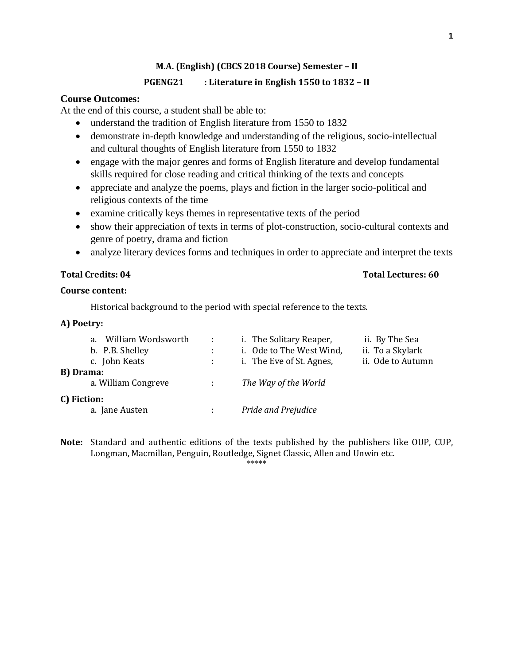# **M.A. (English) (CBCS 2018 Course) Semester – II**

# **PGENG21 : Literature in English 1550 to 1832 – II**

# **Course Outcomes:**

At the end of this course, a student shall be able to:

- understand the tradition of English literature from 1550 to 1832
- demonstrate in-depth knowledge and understanding of the religious, socio-intellectual and cultural thoughts of English literature from 1550 to 1832
- engage with the major genres and forms of English literature and develop fundamental skills required for close reading and critical thinking of the texts and concepts
- appreciate and analyze the poems, plays and fiction in the larger socio-political and religious contexts of the time
- examine critically keys themes in representative texts of the period
- show their appreciation of texts in terms of plot-construction, socio-cultural contexts and genre of poetry, drama and fiction
- analyze literary devices forms and techniques in order to appreciate and interpret the texts

# **Total Credits: 04 Total Lectures: 60**

# **Course content:**

Historical background to the period with special reference to the texts.

# **A) Poetry:**

| a.          | William Wordsworth  |               | i. The Solitary Reaper,  | ii. By The Sea    |
|-------------|---------------------|---------------|--------------------------|-------------------|
|             | b. P.B. Shelley     |               | i. Ode to The West Wind, | ii. To a Skylark  |
|             | c. John Keats       |               | i. The Eve of St. Agnes, | ii. Ode to Autumn |
| B) Drama:   |                     |               |                          |                   |
|             | a. William Congreve | $\mathcal{L}$ | The Way of the World     |                   |
| C) Fiction: |                     |               |                          |                   |
|             | a. Jane Austen      |               | Pride and Prejudice      |                   |

**Note:** Standard and authentic editions of the texts published by the publishers like OUP, CUP, Longman, Macmillan, Penguin, Routledge, Signet Classic, Allen and Unwin etc.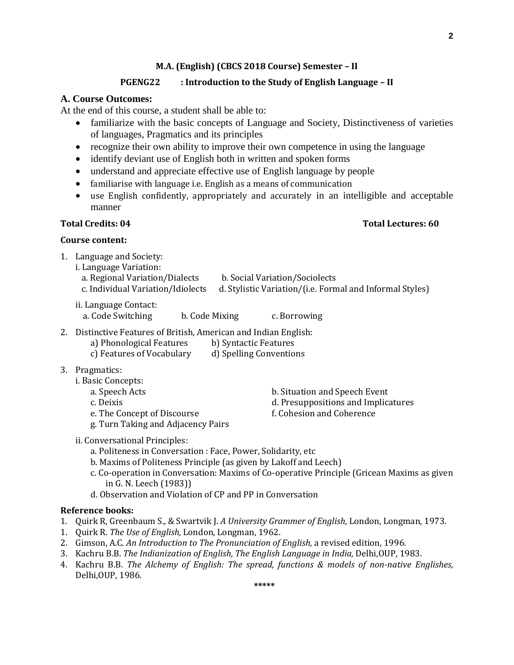### **M.A. (English) (CBCS 2018 Course) Semester – II**

# **PGENG22 : Introduction to the Study of English Language – II**

## **A. Course Outcomes:**

At the end of this course, a student shall be able to:

- familiarize with the basic concepts of Language and Society, Distinctiveness of varieties of languages, Pragmatics and its principles
- recognize their own ability to improve their own competence in using the language
- identify deviant use of English both in written and spoken forms
- understand and appreciate effective use of English language by people
- familiarise with language i.e. English as a means of communication
- use English confidently, appropriately and accurately in an intelligible and acceptable manner

# **Course content:**

- 1. Language and Society:
	- i. Language Variation:
		- a. Regional Variation/Dialects b. Social Variation/Sociolects
		- c. Individual Variation/Idiolects d. Stylistic Variation/(i.e. Formal and Informal Styles)
	- ii. Language Contact:
		- a. Code Switching b. Code Mixing c. Borrowing
- 2. Distinctive Features of British, American and Indian English:
	- a) Phonological Features b) Syntactic Features
	- c) Features of Vocabulary d) Spelling Conventions
- 3. Pragmatics:
	- i. Basic Concepts:
		-
		-
		- a. Speech Acts b. Situation and Speech Event
		- c. Deixis d. Presuppositions and Implicatures
		- e. The Concept of Discourse f. Cohesion and Coherence
		- g. Turn Taking and Adjacency Pairs
	- ii. Conversational Principles:
		- a. Politeness in Conversation : Face, Power, Solidarity, etc
		- b. Maxims of Politeness Principle (as given by Lakoff and Leech)
		- c. Co-operation in Conversation: Maxims of Co-operative Principle (Gricean Maxims as given in G. N. Leech (1983))
		- d. Observation and Violation of CP and PP in Conversation

#### **Reference books:**

- 1. Quirk R, Greenbaum S., & Swartvik J. *A University Grammer of English,* London, Longman, 1973.
- 1. Quirk R. *The Use of English,* London, Longman, 1962.
- 2. Gimson, A.C. *An Introduction to The Pronunciation of English,* a revised edition, 1996.
- 3. Kachru B.B. *The Indianization of English, The English Language in India,* Delhi,OUP, 1983.
- 4. Kachru B.B. *The Alchemy of English: The spread, functions & models of non-native Englishes,* Delhi,OUP, 1986.

**\*\*\*\*\***

#### **Total Credits: 04 Total Lectures: 60**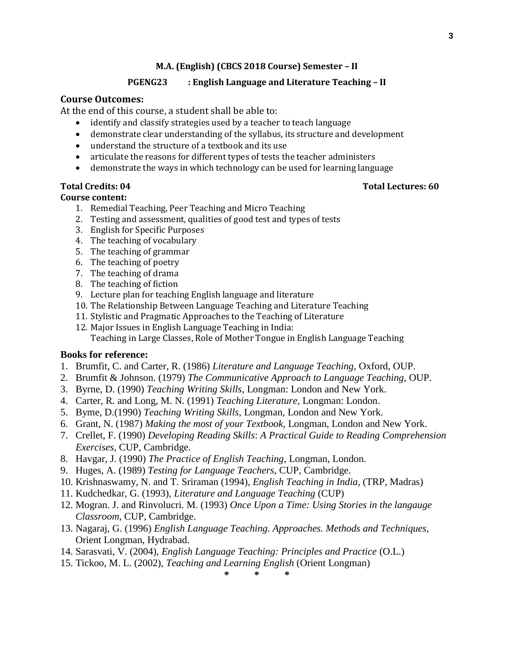**3**

#### **M.A. (English) (CBCS 2018 Course) Semester – II**

# **PGENG23 : English Language and Literature Teaching – II**

# **Course Outcomes:**

At the end of this course, a student shall be able to:

- identify and classify strategies used by a teacher to teach language
- demonstrate clear understanding of the syllabus, its structure and development
- understand the structure of a textbook and its use
- articulate the reasons for different types of tests the teacher administers
- demonstrate the ways in which technology can be used for learning language

### **Course content:**

- 1. Remedial Teaching, Peer Teaching and Micro Teaching
- 2. Testing and assessment, qualities of good test and types of tests
- 3. English for Specific Purposes
- 4. The teaching of vocabulary
- 5. The teaching of grammar
- 6. The teaching of poetry
- 7. The teaching of drama
- 8. The teaching of fiction
- 9. Lecture plan for teaching English language and literature
- 10. The Relationship Between Language Teaching and Literature Teaching
- 11. Stylistic and Pragmatic Approaches to the Teaching of Literature
- 12. Major Issues in English Language Teaching in India: Teaching in Large Classes, Role of Mother Tongue in English Language Teaching

### **Books for reference:**

- 1. Brumfit, C. and Carter, R. (1986) *Literature and Language Teaching,* Oxford, OUP.
- 2. Brumfit & Johnson. (1979) *The Communicative Approach to Language Teaching*, OUP.
- 3. Byrne, D. (1990) *Teaching Writing Skills*, Longman: London and New York.
- 4. Carter, R. and Long, M. N. (1991) *Teaching Literature*, Longman: London.
- 5. Byme, D.(1990) *Teaching Writing Skills*, Longman, London and New York.
- 6. Grant, N. (1987) *Making the most of your Textbook*, Longman, London and New York.
- 7. Crellet, F. (1990) *Developing Reading Skills*: *A Practical Guide to Reading Comprehension Exercises*, CUP, Cambridge.
- 8. Havgar, J. (1990) *The Practice of English Teaching*, Longman, London.
- 9. Huges, A. (1989) *Testing for Language Teachers*, CUP, Cambridge.
- 10. Krishnaswamy, N. and T. Sriraman (1994), *English Teaching in India*, (TRP, Madras)
- 11. Kudchedkar, G. (1993), *Literature and Language Teaching* (CUP)
- 12. Mogran. J. and Rinvolucri. M. (1993) *Once Upon a Time: Using Stories in the langauge Classroom*, CUP, Cambridge.
- 13. Nagaraj, G. (1996) *English Language Teaching. Approaches. Methods and Techniques*, Orient Longman, Hydrabad.
- 14. Sarasvati, V. (2004), *English Language Teaching: Principles and Practice* (O.L.)
- 15. Tickoo, M. L. (2002), *Teaching and Learning English* (Orient Longman)

**\* \* \***

#### **Total Credits: 04 Total Lectures: 60**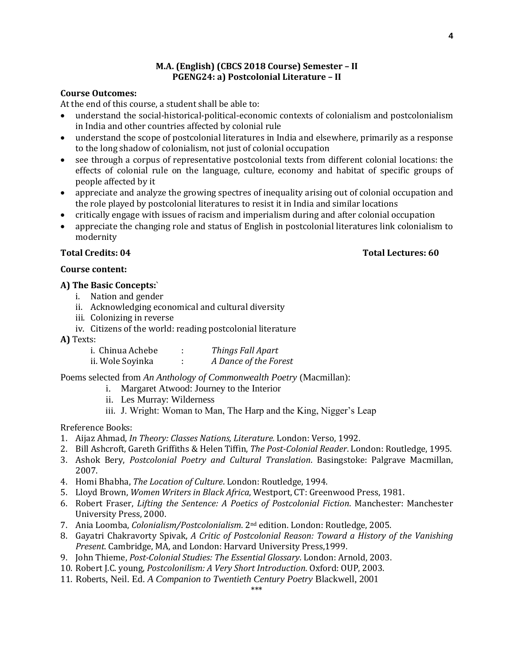# **M.A. (English) (CBCS 2018 Course) Semester – II PGENG24: a) Postcolonial Literature – II**

# **Course Outcomes:**

At the end of this course, a student shall be able to:

- understand the social-historical-political-economic contexts of colonialism and postcolonialism in India and other countries affected by colonial rule
- understand the scope of postcolonial literatures in India and elsewhere, primarily as a response to the long shadow of colonialism, not just of colonial occupation
- see through a corpus of representative postcolonial texts from different colonial locations: the effects of colonial rule on the language, culture, economy and habitat of specific groups of people affected by it
- appreciate and analyze the growing spectres of inequality arising out of colonial occupation and the role played by postcolonial literatures to resist it in India and similar locations
- critically engage with issues of racism and imperialism during and after colonial occupation
- appreciate the changing role and status of English in postcolonial literatures link colonialism to modernity

### **Total Credits: 04 Total Lectures: 60**

# **Course content:**

### **A) The Basic Concepts:**`

- i. Nation and gender
- ii. Acknowledging economical and cultural diversity
- iii. Colonizing in reverse
- iv. Citizens of the world: reading postcolonial literature
- **A)** Texts:

| i. Chinua Achebe | Things Fall Apart     |
|------------------|-----------------------|
| ii. Wole Soyinka | A Dance of the Forest |

Poems selected from *An Anthology of Commonwealth Poetry* (Macmillan):

- i. Margaret Atwood: Journey to the Interior
- ii. Les Murray: Wilderness
- iii. J. Wright: Woman to Man, The Harp and the King, Nigger's Leap

Rreference Books:

- 1. Aijaz Ahmad, *In Theory: Classes Nations, Literature.* London: Verso, 1992.
- 2. Bill Ashcroft, Gareth Griffiths & Helen Tiffin, *The Post-Colonial Reader*. London: Routledge, 1995.
- 3. Ashok Bery, *Postcolonial Poetry and Cultural Translation*. Basingstoke: Palgrave Macmillan, 2007.
- 4. Homi Bhabha, *The Location of Culture*. London: Routledge, 1994.
- 5. Lloyd Brown, *Women Writers in Black Africa*, Westport, CT: Greenwood Press, 1981.
- 6. Robert Fraser, *Lifting the Sentence: A Poetics of Postcolonial Fiction*. Manchester: Manchester University Press, 2000.
- 7. Ania Loomba, *Colonialism/Postcolonialism*. 2nd edition. London: Routledge, 2005.
- 8. Gayatri Chakravorty Spivak, *A Critic of Postcolonial Reason: Toward a History of the Vanishing Present*. Cambridge, MA, and London: Harvard University Press,1999.
- 9. John Thieme, *Post-Colonial Studies: The Essential Glossary*. London: Arnold, 2003.
- 10. Robert J.C. young, *Postcolonilism: A Very Short Introduction*. Oxford: OUP, 2003.
- 11. Roberts, Neil. Ed. *A Companion to Twentieth Century Poetry* Blackwell, 2001

**4**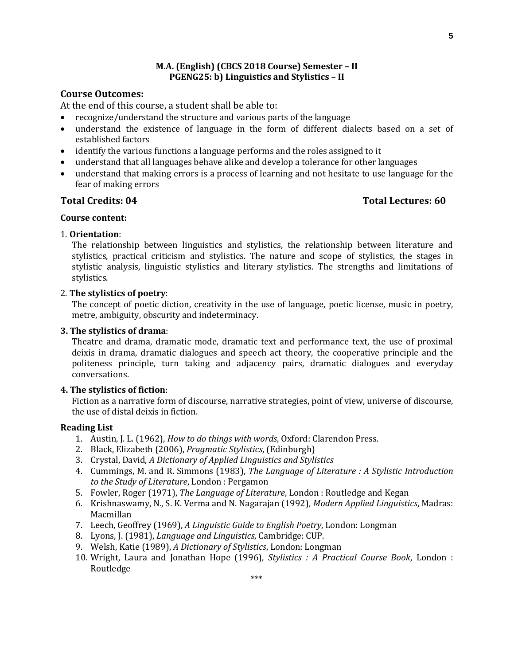### **M.A. (English) (CBCS 2018 Course) Semester – II PGENG25: b) Linguistics and Stylistics – II**

# **Course Outcomes:**

At the end of this course, a student shall be able to:

- recognize/understand the structure and various parts of the language
- understand the existence of language in the form of different dialects based on a set of established factors
- identify the various functions a language performs and the roles assigned to it
- understand that all languages behave alike and develop a tolerance for other languages
- understand that making errors is a process of learning and not hesitate to use language for the fear of making errors

# **Total Credits: 04 Total Lectures: 60**

# **Course content:** 1. **Orientation**:

The relationship between linguistics and stylistics, the relationship between literature and stylistics, practical criticism and stylistics. The nature and scope of stylistics, the stages in stylistic analysis, linguistic stylistics and literary stylistics. The strengths and limitations of stylistics.

### 2. **The stylistics of poetry**:

The concept of poetic diction, creativity in the use of language, poetic license, music in poetry, metre, ambiguity, obscurity and indeterminacy.

### **3. The stylistics of drama**:

Theatre and drama, dramatic mode, dramatic text and performance text, the use of proximal deixis in drama, dramatic dialogues and speech act theory, the cooperative principle and the politeness principle, turn taking and adjacency pairs, dramatic dialogues and everyday conversations.

### **4. The stylistics of fiction**:

Fiction as a narrative form of discourse, narrative strategies, point of view, universe of discourse, the use of distal deixis in fiction.

#### **Reading List**

- 1. Austin, J. L. (1962), *How to do things with words*, Oxford: Clarendon Press.
- 2. Black, Elizabeth (2006), *Pragmatic Stylistics*, (Edinburgh)
- 3. Crystal, David, *A Dictionary of Applied Linguistics and Stylistics*
- 4. Cummings, M. and R. Simmons (1983), *The Language of Literature : A Stylistic Introduction to the Study of Literature*, London : Pergamon
- 5. Fowler, Roger (1971), *The Language of Literature*, London : Routledge and Kegan
- 6. Krishnaswamy, N., S. K. Verma and N. Nagarajan (1992), *Modern Applied Linguistics*, Madras: Macmillan
- 7. Leech, Geoffrey (1969), *A Linguistic Guide to English Poetry*, London: Longman
- 8. Lyons, J. (1981), *Language and Linguistics*, Cambridge: CUP.
- 9. Welsh, Katie (1989), *A Dictionary of Stylistics*, London: Longman
- 10. Wright, Laura and Jonathan Hope (1996), *Stylistics : A Practical Course Book*, London : Routledge

**5**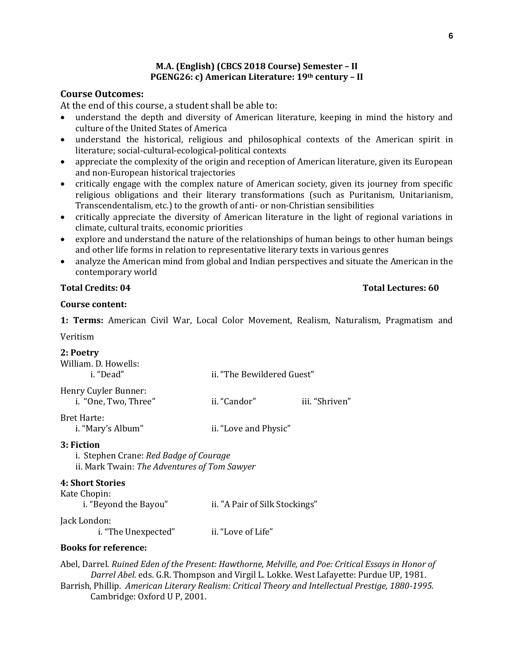# **M.A. (English) (CBCS 2018 Course) Semester – II PGENG26: c) American Literature: 19th century – II**

# **Course Outcomes:**

At the end of this course, a student shall be able to:

- understand the depth and diversity of American literature, keeping in mind the history and culture of the United States of America
- understand the historical, religious and philosophical contexts of the American spirit in literature; social-cultural-ecological-political contexts
- appreciate the complexity of the origin and reception of American literature, given its European and non-European historical trajectories
- critically engage with the complex nature of American society, given its journey from specific religious obligations and their literary transformations (such as Puritanism, Unitarianism, Transcendentalism, etc.) to the growth of anti- or non-Christian sensibilities
- critically appreciate the diversity of American literature in the light of regional variations in climate, cultural traits, economic priorities
- explore and understand the nature of the relationships of human beings to other human beings and other life forms in relation to representative literary texts in various genres
- analyze the American mind from global and Indian perspectives and situate the American in the contemporary world

### **Total Credits: 04 Total Lectures: 60**

# **Course content:**

**1: Terms:** American Civil War, Local Color Movement, Realism, Naturalism, Pragmatism and Veritism

| 2: Poetry<br>William. D. Howells:                                                                    |                            |                |  |  |  |  |
|------------------------------------------------------------------------------------------------------|----------------------------|----------------|--|--|--|--|
| i. "Dead"                                                                                            | ii. "The Bewildered Guest" |                |  |  |  |  |
| Henry Cuyler Bunner:<br>i. "One, Two, Three"                                                         | ii. "Candor"               | iii. "Shriven" |  |  |  |  |
| <b>Bret Harte:</b><br>i. "Mary's Album"                                                              | ii. "Love and Physic"      |                |  |  |  |  |
| 3: Fiction<br>i. Stephen Crane: Red Badge of Courage<br>ii. Mark Twain: The Adventures of Tom Sawyer |                            |                |  |  |  |  |
| $\bm{A}$ $\bm{C}$ is a set $\bm{C}$ is a set of $\bm{C}$                                             |                            |                |  |  |  |  |

#### **4: Short Stories** Kate Chopin:

i. "Beyond the Bayou" ii. "A Pair of Silk Stockings"

# Jack London:

i. "The Unexpected" ii. "Love of Life"

# **Books for reference:**

Abel, Darrel. *Ruined Eden of the Present: Hawthorne, Melville, and Poe: Critical Essays in Honor of Darrel Abel*. eds. G.R. Thompson and Virgil L. Lokke. West Lafayette: Purdue UP, 1981. Barrish, Phillip. *American Literary Realism: Critical Theory and Intellectual Prestige, 1880-1995.*  Cambridge: Oxford U P, 2001.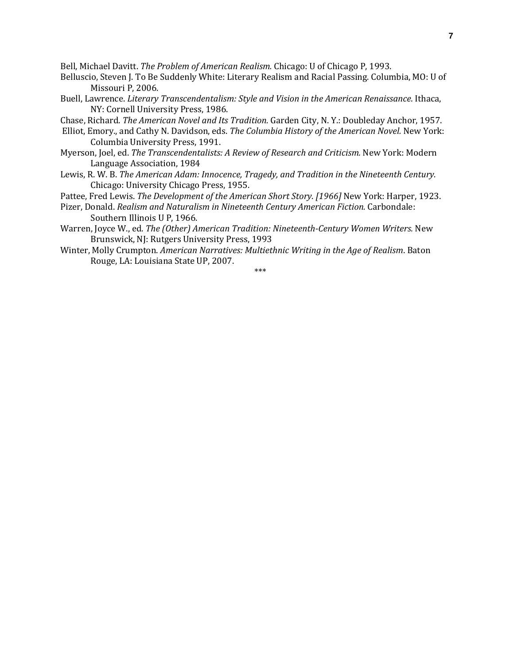Bell, Michael Davitt. *The Problem of American Realism.* Chicago: U of Chicago P, 1993.

- Belluscio, Steven J. To Be Suddenly White: Literary Realism and Racial Passing. Columbia, MO: U of Missouri P, 2006.
- Buell, Lawrence. *Literary Transcendentalism: Style and Vision in the American Renaissance.* Ithaca, NY: Cornell University Press, 1986.
- Chase, Richard. *The American Novel and Its Tradition.* Garden City, N. Y.: Doubleday Anchor, 1957.
- Elliot, Emory., and Cathy N. Davidson, eds. *The Columbia History of the American Novel.* New York: Columbia University Press, 1991.
- Myerson, Joel, ed. *The Transcendentalists: A Review of Research and Criticism.* New York: Modern Language Association, 1984
- Lewis, R. W. B. *The American Adam: Innocence, Tragedy, and Tradition in the Nineteenth Century.* Chicago: University Chicago Press, 1955.

Pattee, Fred Lewis. *The Development of the American Short Story. [1966]* New York: Harper, 1923.

- Pizer, Donald. *Realism and Naturalism in Nineteenth Century American Fiction.* Carbondale: Southern Illinois U P, 1966.
- Warren, Joyce W., ed. *The (Other) American Tradition: Nineteenth-Century Women Writers.* New Brunswick, NJ: Rutgers University Press, 1993
- Winter, Molly Crumpton. *American Narratives: Multiethnic Writing in the Age of Realism*. Baton Rouge, LA: Louisiana State UP, 2007.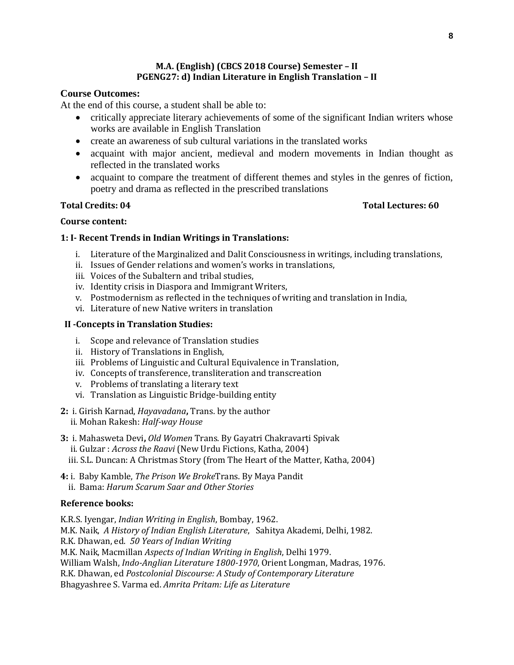# **M.A. (English) (CBCS 2018 Course) Semester – II PGENG27: d) Indian Literature in English Translation – II**

# **Course Outcomes:**

At the end of this course, a student shall be able to:

- critically appreciate literary achievements of some of the significant Indian writers whose works are available in English Translation
- create an awareness of sub cultural variations in the translated works
- acquaint with major ancient, medieval and modern movements in Indian thought as reflected in the translated works
- acquaint to compare the treatment of different themes and styles in the genres of fiction, poetry and drama as reflected in the prescribed translations

# **Total Credits: 04 Total Lectures: 60**

# **Course content:**

# **1: I- Recent Trends in Indian Writings in Translations:**

- i. Literature of the Marginalized and Dalit Consciousness in writings, including translations,
- ii. Issues of Gender relations and women's works in translations,
- iii. Voices of the Subaltern and tribal studies,
- iv. Identity crisis in Diaspora and Immigrant Writers,
- v. Postmodernism as reflected in the techniques of writing and translation in India,
- vi. Literature of new Native writers in translation

# **II -Concepts in Translation Studies:**

- i. Scope and relevance of Translation studies
- ii. History of Translations in English,
- iii. Problems of Linguistic and Cultural Equivalence in Translation,
- iv. Concepts of transference, transliteration and transcreation
- v. Problems of translating a literary text
- vi. Translation as Linguistic Bridge-building entity
- **2:** i. Girish Karnad, *Hayavadana***,** Trans. by the author ii. Mohan Rakesh: *Half-way House*
- **3:** i. Mahasweta Devi**,** *Old Women* Trans. By Gayatri Chakravarti Spivak
	- ii. Gulzar : *Across the Raavi* (New Urdu Fictions, Katha, 2004)
	- iii. S.L. Duncan: A Christmas Story (from The Heart of the Matter, Katha, 2004)
- **4:** i. Baby Kamble, *The Prison We Broke*Trans. By Maya Pandit ii. Bama: *Harum Scarum Saar and Other Stories*

# **Reference books:**

K.R.S. Iyengar, *Indian Writing in English*, Bombay, 1962. M.K. Naik, *A History of Indian English Literature*, Sahitya Akademi, Delhi, 1982. R.K. Dhawan, ed. *50 Years of Indian Writing* M.K. Naik, Macmillan *Aspects of Indian Writing in English*, Delhi 1979. William Walsh, *Indo-Anglian Literature 1800-1970*, Orient Longman, Madras, 1976. R.K. Dhawan, ed *Postcolonial Discourse: A Study of Contemporary Literature* Bhagyashree S. Varma ed. *Amrita Pritam: Life as Literature*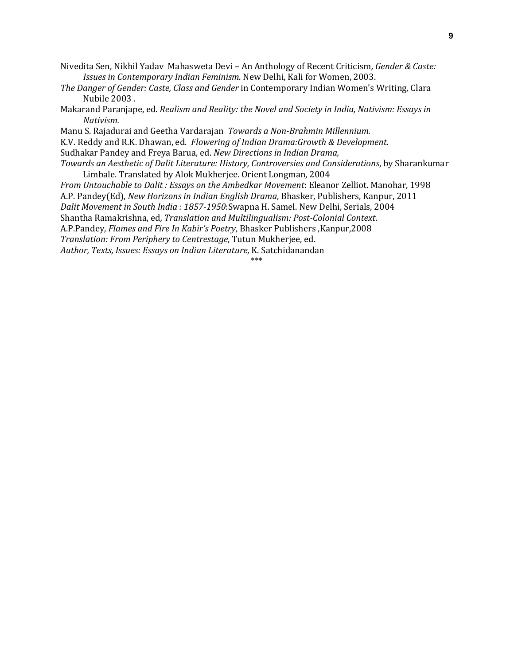- Nivedita Sen, Nikhil YadavMahasweta Devi An Anthology of Recent Criticism*, Gender & Caste: Issues in Contemporary Indian Feminism*. New Delhi, Kali for Women, 2003.
- *The Danger of Gender: Caste, Class and Gender* in Contemporary Indian Women's Writing, Clara Nubile 2003 .
- Makarand Paranjape, ed. *Realism and Reality: the Novel and Society in India, Nativism: Essays in Nativism.*
- Manu S. Rajadurai and Geetha Vardarajan *Towards a Non-Brahmin Millennium.*
- K.V. Reddy and R.K. Dhawan, ed. *Flowering of Indian Drama:Growth & Development.*
- Sudhakar Pandey and Freya Barua, ed. *New Directions in Indian Drama,*
- *Towards an Aesthetic of Dalit Literature: History, Controversies and Considerations*, by Sharankumar Limbale. Translated by Alok Mukherjee. Orient Longman, 2004

*From Untouchable to Dalit : Essays on the Ambedkar Movement*: Eleanor Zelliot. Manohar, 1998 A.P. Pandey(Ed), *New Horizons in Indian English Drama*, Bhasker, Publishers, Kanpur, 2011 *Dalit Movement in South India : 1857-1950*:Swapna H. Samel. New Delhi, Serials, 2004 Shantha Ramakrishna, ed*, Translation and Multilingualism: Post-Colonial Context*. A.P.Pandey, *Flames and Fire In Kabir's Poetry*, Bhasker Publishers ,Kanpur,2008 *Translation: From Periphery to Centrestage*, Tutun Mukherjee, ed. *Author, Texts, Issues: Essays on Indian Literature*, K. Satchidanandan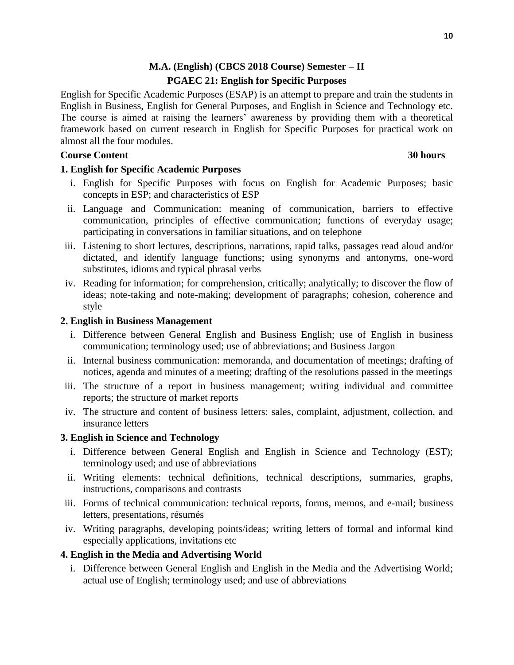# **M.A. (English) (CBCS 2018 Course) Semester – II PGAEC 21: English for Specific Purposes**

English for Specific Academic Purposes (ESAP) is an attempt to prepare and train the students in English in Business, English for General Purposes, and English in Science and Technology etc. The course is aimed at raising the learners' awareness by providing them with a theoretical framework based on current research in English for Specific Purposes for practical work on almost all the four modules.

# **Course Content 30 hours** 30 hours

# **1. English for Specific Academic Purposes**

- i. English for Specific Purposes with focus on English for Academic Purposes; basic concepts in ESP; and characteristics of ESP
- ii. Language and Communication: meaning of communication, barriers to effective communication, principles of effective communication; functions of everyday usage; participating in conversations in familiar situations, and on telephone
- iii. Listening to short lectures, descriptions, narrations, rapid talks, passages read aloud and/or dictated, and identify language functions; using synonyms and antonyms, one-word substitutes, idioms and typical phrasal verbs
- iv. Reading for information; for comprehension, critically; analytically; to discover the flow of ideas; note-taking and note-making; development of paragraphs; cohesion, coherence and style

# **2. English in Business Management**

- i. Difference between General English and Business English; use of English in business communication; terminology used; use of abbreviations; and Business Jargon
- ii. Internal business communication: memoranda, and documentation of meetings; drafting of notices, agenda and minutes of a meeting; drafting of the resolutions passed in the meetings
- iii. The structure of a report in business management; writing individual and committee reports; the structure of market reports
- iv. The structure and content of business letters: sales, complaint, adjustment, collection, and insurance letters

# **3. English in Science and Technology**

- i. Difference between General English and English in Science and Technology (EST); terminology used; and use of abbreviations
- ii. Writing elements: technical definitions, technical descriptions, summaries, graphs, instructions, comparisons and contrasts
- iii. Forms of technical communication: technical reports, forms, memos, and e-mail; business letters, presentations, résumés
- iv. Writing paragraphs, developing points/ideas; writing letters of formal and informal kind especially applications, invitations etc

# **4. English in the Media and Advertising World**

i. Difference between General English and English in the Media and the Advertising World; actual use of English; terminology used; and use of abbreviations